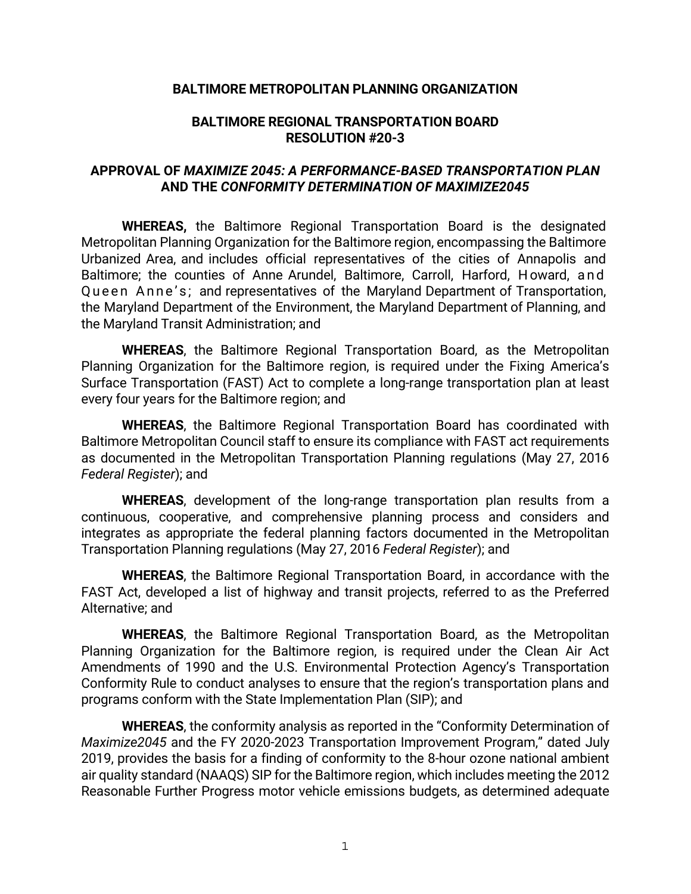## **BALTIMORE METROPOLITAN PLANNING ORGANIZATION**

## **BALTIMORE REGIONAL TRANSPORTATION BOARD RESOLUTION #20-3**

## **APPROVAL OF** *MAXIMIZE 2045: A PERFORMANCE-BASED TRANSPORTATION PLAN*  **AND THE** *CONFORMITY DETERMINATION OF MAXIMIZE2045*

**WHEREAS,** the Baltimore Regional Transportation Board is the designated Metropolitan Planning Organization for the Baltimore region, encompassing the Baltimore Urbanized Area, and includes official representatives of the cities of Annapolis and Baltimore; the counties of Anne Arundel, Baltimore, Carroll, Harford, Howard, and Queen Anne's; and representatives of the Maryland Department of Transportation, the Maryland Department of the Environment, the Maryland Department of Planning, and the Maryland Transit Administration; and

**WHEREAS**, the Baltimore Regional Transportation Board, as the Metropolitan Planning Organization for the Baltimore region, is required under the Fixing America's Surface Transportation (FAST) Act to complete a long-range transportation plan at least every four years for the Baltimore region; and

**WHEREAS**, the Baltimore Regional Transportation Board has coordinated with Baltimore Metropolitan Council staff to ensure its compliance with FAST act requirements as documented in the Metropolitan Transportation Planning regulations (May 27, 2016 *Federal Register*); and

**WHEREAS**, development of the long-range transportation plan results from a continuous, cooperative, and comprehensive planning process and considers and integrates as appropriate the federal planning factors documented in the Metropolitan Transportation Planning regulations (May 27, 2016 *Federal Register*); and

**WHEREAS**, the Baltimore Regional Transportation Board, in accordance with the FAST Act, developed a list of highway and transit projects, referred to as the Preferred Alternative; and

**WHEREAS**, the Baltimore Regional Transportation Board, as the Metropolitan Planning Organization for the Baltimore region, is required under the Clean Air Act Amendments of 1990 and the U.S. Environmental Protection Agency's Transportation Conformity Rule to conduct analyses to ensure that the region's transportation plans and programs conform with the State Implementation Plan (SIP); and

**WHEREAS**, the conformity analysis as reported in the "Conformity Determination of *Maximize2045* and the FY 2020-2023 Transportation Improvement Program," dated July 2019, provides the basis for a finding of conformity to the 8-hour ozone national ambient air quality standard (NAAQS) SIP for the Baltimore region, which includes meeting the 2012 Reasonable Further Progress motor vehicle emissions budgets, as determined adequate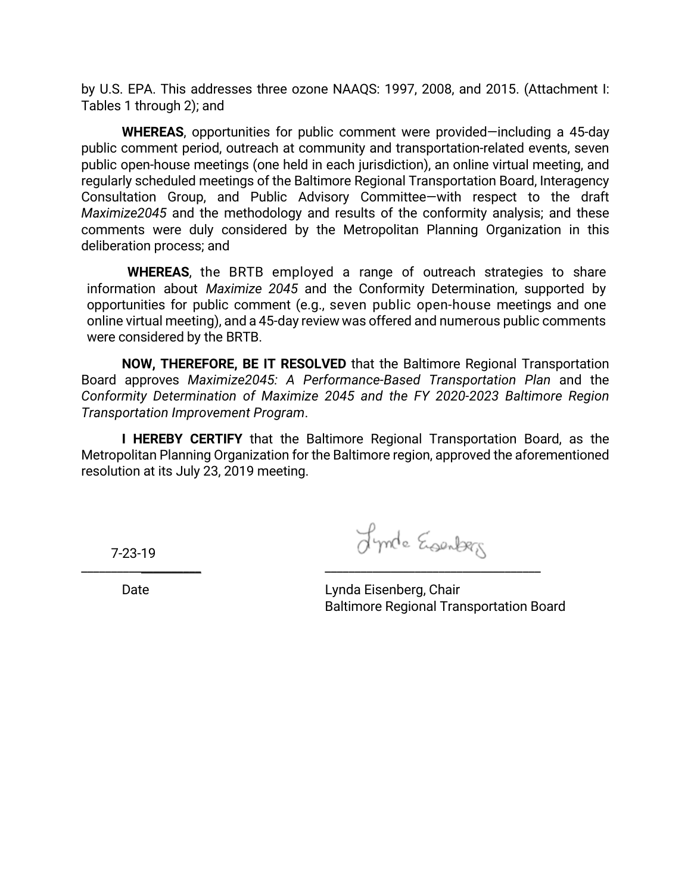by U.S. EPA. This addresses three ozone NAAQS: 1997, 2008, and 2015. (Attachment I: Tables 1 through 2); and

**WHEREAS**, opportunities for public comment were provided—including a 45-day public comment period, outreach at community and transportation-related events, seven public open-house meetings (one held in each jurisdiction), an online virtual meeting, and regularly scheduled meetings of the Baltimore Regional Transportation Board, Interagency Consultation Group, and Public Advisory Committee—with respect to the draft *Maximize2045* and the methodology and results of the conformity analysis; and these comments were duly considered by the Metropolitan Planning Organization in this deliberation process; and

**WHEREAS**, the BRTB employed a range of outreach strategies to share information about *Maximize 2045* and the Conformity Determination, supported by opportunities for public comment (e.g., seven public open-house meetings and one online virtual meeting), and a 45-day review was offered and numerous public comments were considered by the BRTB.

**NOW, THEREFORE, BE IT RESOLVED** that the Baltimore Regional Transportation Board approves *Maximize2045: A Performance-Based Transportation Plan* and the *Conformity Determination of Maximize 2045 and the FY 2020-2023 Baltimore Region Transportation Improvement Program*.

**I HEREBY CERTIFY** that the Baltimore Regional Transportation Board, as the Metropolitan Planning Organization for the Baltimore region, approved the aforementioned resolution at its July 23, 2019 meeting.

7-23-19

Lynde Esembers

Date

\_\_\_\_\_\_\_\_\_\_\_\_\_\_\_\_\_\_\_\_

Lynda Eisenberg, Chair Baltimore Regional Transportation Board

\_\_\_\_\_\_\_\_\_\_\_\_\_\_\_\_\_\_\_\_\_\_\_\_\_\_\_\_\_\_\_\_\_\_\_\_